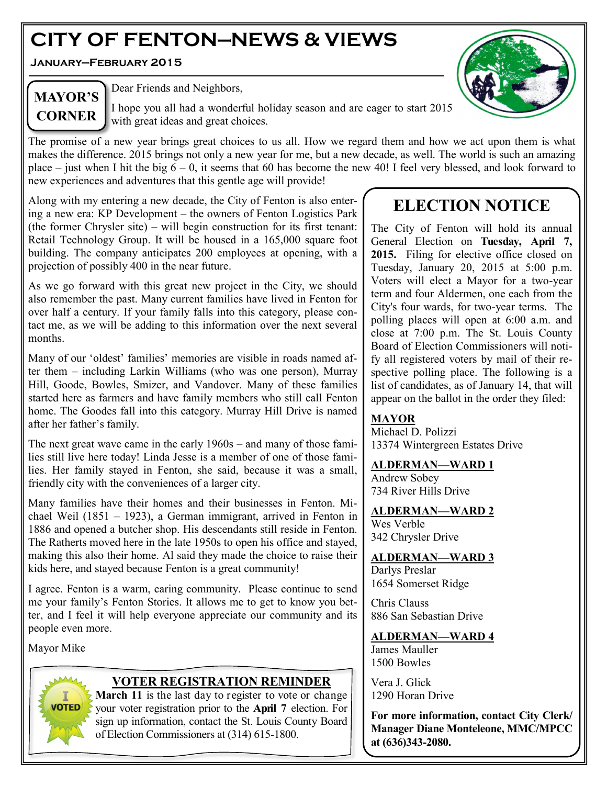# **CITY OF FENTON—NEWS & VIEWS**

**January—February 2015**



## **MAYOR'S CORNER**

Dear Friends and Neighbors,

I hope you all had a wonderful holiday season and are eager to start 2015 with great ideas and great choices.

The promise of a new year brings great choices to us all. How we regard them and how we act upon them is what makes the difference. 2015 brings not only a new year for me, but a new decade, as well. The world is such an amazing place – just when I hit the big  $6 - 0$ , it seems that 60 has become the new 40! I feel very blessed, and look forward to new experiences and adventures that this gentle age will provide!

Along with my entering a new decade, the City of Fenton is also entering a new era: KP Development – the owners of Fenton Logistics Park (the former Chrysler site) – will begin construction for its first tenant: Retail Technology Group. It will be housed in a 165,000 square foot building. The company anticipates 200 employees at opening, with a projection of possibly 400 in the near future.

As we go forward with this great new project in the City, we should also remember the past. Many current families have lived in Fenton for over half a century. If your family falls into this category, please contact me, as we will be adding to this information over the next several months.

Many of our 'oldest' families' memories are visible in roads named after them – including Larkin Williams (who was one person), Murray Hill, Goode, Bowles, Smizer, and Vandover. Many of these families started here as farmers and have family members who still call Fenton home. The Goodes fall into this category. Murray Hill Drive is named after her father's family.

The next great wave came in the early 1960s – and many of those families still live here today! Linda Jesse is a member of one of those families. Her family stayed in Fenton, she said, because it was a small, friendly city with the conveniences of a larger city.

Many families have their homes and their businesses in Fenton. Michael Weil (1851 – 1923), a German immigrant, arrived in Fenton in 1886 and opened a butcher shop. His descendants still reside in Fenton. The Ratherts moved here in the late 1950s to open his office and stayed, making this also their home. Al said they made the choice to raise their kids here, and stayed because Fenton is a great community!

I agree. Fenton is a warm, caring community. Please continue to send me your family's Fenton Stories. It allows me to get to know you better, and I feel it will help everyone appreciate our community and its people even more.

Mayor Mike



### **VOTER REGISTRATION REMINDER**

**March 11** is the last day to register to vote or change your voter registration prior to the **April 7** election. For sign up information, contact the St. Louis County Board of Election Commissioners at (314) 615-1800.

## **ELECTION NOTICE**

The City of Fenton will hold its annual General Election on **Tuesday, April 7,**  2015. Filing for elective office closed on Tuesday, January 20, 2015 at 5:00 p.m. Voters will elect a Mayor for a two-year term and four Aldermen, one each from the City's four wards, for two-year terms. The polling places will open at 6:00 a.m. and close at 7:00 p.m. The St. Louis County Board of Election Commissioners will notify all registered voters by mail of their respective polling place. The following is a list of candidates, as of January 14, that will appear on the ballot in the order they filed:

### **MAYOR**

Michael D. Polizzi 13374 Wintergreen Estates Drive

#### **ALDERMAN—WARD 1**

Andrew Sobey 734 River Hills Drive

**ALDERMAN—WARD 2**

Wes Verble 342 Chrysler Drive

**ALDERMAN—WARD 3** Darlys Preslar 1654 Somerset Ridge

Chris Clauss 886 San Sebastian Drive

### **ALDERMAN—WARD 4**

James Mauller 1500 Bowles

Vera J. Glick 1290 Horan Drive

**For more information, contact City Clerk/ Manager Diane Monteleone, MMC/MPCC at (636)343-2080.**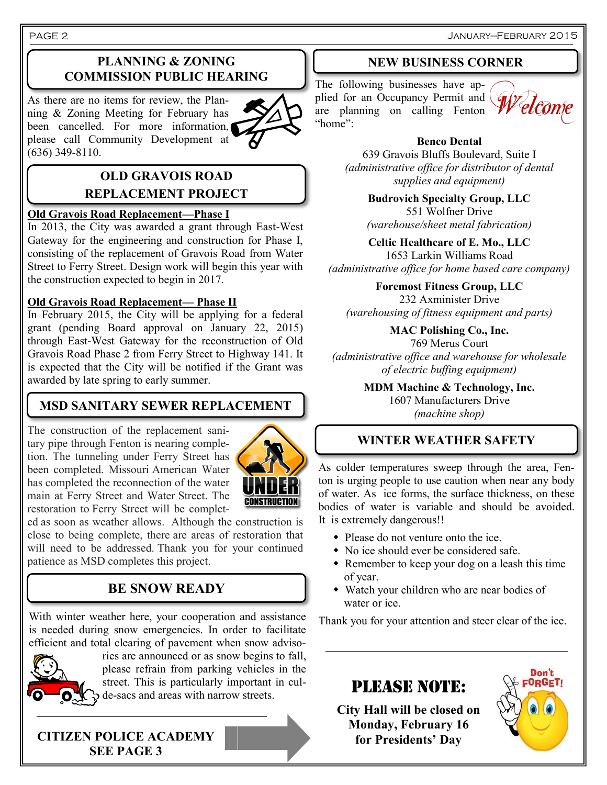### **PLANNING & ZONING COMMISSION PUBLIC HEARING**

As there are no items for review, the Planning & Zoning Meeting for February has been cancelled. For more information, please call Community Development at (636) 349-8110.



### **OLD GRAVOIS ROAD REPLACEMENT PROJECT**

#### **Old Gravois Road Replacement—Phase I**

In 2013, the City was awarded a grant through East-West Gateway for the engineering and construction for Phase I, consisting of the replacement of Gravois Road from Water Street to Ferry Street. Design work will begin this year with the construction expected to begin in 2017.

#### **Old Gravois Road Replacement— Phase II**

In February 2015, the City will be applying for a federal grant (pending Board approval on January 22, 2015) through East-West Gateway for the reconstruction of Old Gravois Road Phase 2 from Ferry Street to Highway 141. It is expected that the City will be notified if the Grant was awarded by late spring to early summer.

### **MSD SANITARY SEWER REPLACEMENT**

The construction of the replacement sanitary pipe through Fenton is nearing completion. The tunneling under Ferry Street has been completed. Missouri American Water has completed the reconnection of the water main at Ferry Street and Water Street. The restoration to Ferry Street will be complet-



ed as soon as weather allows. Although the construction is close to being complete, there are areas of restoration that will need to be addressed. Thank you for your continued patience as MSD completes this project.

### **BE SNOW READY**

With winter weather here, your cooperation and assistance is needed during snow emergencies. In order to facilitate efficient and total clearing of pavement when snow adviso-



ries are announced or as snow begins to fall, please refrain from parking vehicles in the street. This is particularly important in culde-sacs and areas with narrow streets.

**CITIZEN POLICE ACADEMY SEE PAGE 3**

#### **NEW BUSINESS CORNER**

The following businesses have applied for an Occupancy Permit and are planning on calling Fenton "home":



#### **Benco Dental**

639 Gravois Bluffs Boulevard, Suite I *(administrative office for distributor of dental supplies and equipment)*

> **Budrovich Specialty Group, LLC** 551 Wolfner Drive *(warehouse/sheet metal fabrication)*

**Celtic Healthcare of E. Mo., LLC** 1653 Larkin Williams Road *(administrative office for home based care company)*

**Foremost Fitness Group, LLC** 232 Axminister Drive *(warehousing of fitness equipment and parts)*

**MAC Polishing Co., Inc.** 769 Merus Court *(administrative office and warehouse for wholesale of electric buffing equipment)*

> **MDM Machine & Technology, Inc.** 1607 Manufacturers Drive *(machine shop)*

### **WINTER WEATHER SAFETY**

As colder temperatures sweep through the area, Fenton is urging people to use caution when near any body of water. As ice forms, the surface thickness, on these bodies of water is variable and should be avoided. It is extremely dangerous!!

- Please do not venture onto the ice.
- No ice should ever be considered safe.
- Remember to keep your dog on a leash this time of year.
- Watch your children who are near bodies of water or ice.

Thank you for your attention and steer clear of the ice.

### PLEASE NOTE:

**City Hall will be closed on Monday, February 16 for Presidents' Day**

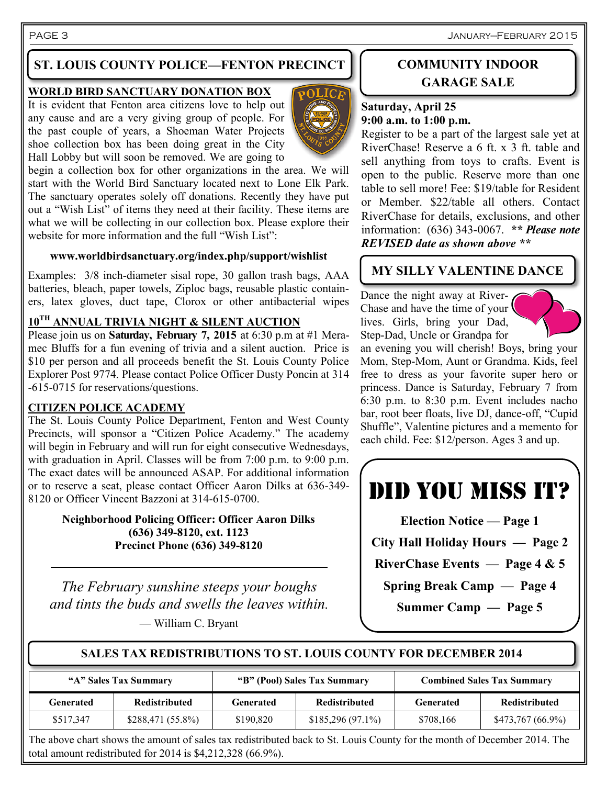PAGE 3 January—February 2015

### **ST. LOUIS COUNTY POLICE—FENTON PRECINCT**

#### **WORLD BIRD SANCTUARY DONATION BOX**

It is evident that Fenton area citizens love to help out any cause and are a very giving group of people. For the past couple of years, a Shoeman Water Projects shoe collection box has been doing great in the City Hall Lobby but will soon be removed. We are going to



begin a collection box for other organizations in the area. We will start with the World Bird Sanctuary located next to Lone Elk Park. The sanctuary operates solely off donations. Recently they have put out a "Wish List" of items they need at their facility. These items are what we will be collecting in our collection box. Please explore their website for more information and the full "Wish List":

#### **www.worldbirdsanctuary.org/index.php/support/wishlist**

Examples: 3/8 inch-diameter sisal rope, 30 gallon trash bags, AAA batteries, bleach, paper towels, Ziploc bags, reusable plastic containers, latex gloves, duct tape, Clorox or other antibacterial wipes

### **10TH ANNUAL TRIVIA NIGHT & SILENT AUCTION**

Please join us on **Saturday, February 7, 2015** at 6:30 p.m at #1 Meramec Bluffs for a fun evening of trivia and a silent auction. Price is \$10 per person and all proceeds benefit the St. Louis County Police Explorer Post 9774. Please contact Police Officer Dusty Poncin at 314 -615-0715 for reservations/questions.

#### **CITIZEN POLICE ACADEMY**

The St. Louis County Police Department, Fenton and West County Precincts, will sponsor a "Citizen Police Academy." The academy will begin in February and will run for eight consecutive Wednesdays, with graduation in April. Classes will be from 7:00 p.m. to 9:00 p.m. The exact dates will be announced ASAP. For additional information or to reserve a seat, please contact Officer Aaron Dilks at 636-349- 8120 or Officer Vincent Bazzoni at 314-615-0700.

> **Neighborhood Policing Officer: Officer Aaron Dilks (636) 349-8120, ext. 1123 Precinct Phone (636) 349-8120**

*The February sunshine steeps your boughs and tints the buds and swells the leaves within.*

— William C. Bryant

### **COMMUNITY INDOOR GARAGE SALE**

#### **Saturday, April 25 9:00 a.m. to 1:00 p.m.**

Register to be a part of the largest sale yet at RiverChase! Reserve a 6 ft. x 3 ft. table and sell anything from toys to crafts. Event is open to the public. Reserve more than one table to sell more! Fee: \$19/table for Resident or Member. \$22/table all others. Contact RiverChase for details, exclusions, and other information: (636) 343-0067. *\*\* Please note REVISED date as shown above \*\**

### **MY SILLY VALENTINE DANCE**

Dance the night away at River-Chase and have the time of your lives. Girls, bring your Dad, Step-Dad, Uncle or Grandpa for



an evening you will cherish! Boys, bring your Mom, Step-Mom, Aunt or Grandma. Kids, feel free to dress as your favorite super hero or princess. Dance is Saturday, February 7 from 6:30 p.m. to 8:30 p.m. Event includes nacho bar, root beer floats, live DJ, dance-off, "Cupid Shuffle", Valentine pictures and a memento for each child. Fee: \$12/person. Ages 3 and up.



**City Hall Holiday Hours — Page 2**

**RiverChase Events — Page 4 & 5**

**Spring Break Camp — Page 4**

**Summer Camp — Page 5**

**SALES TAX REDISTRIBUTIONS TO ST. LOUIS COUNTY FOR DECEMBER 2014**

| "A" Sales Tax Summary |                      | "B" (Pool) Sales Tax Summary |                      | <b>Combined Sales Tax Summary</b> |                      |
|-----------------------|----------------------|------------------------------|----------------------|-----------------------------------|----------------------|
| Generated             | <b>Redistributed</b> | Generated                    | <b>Redistributed</b> | Generated                         | <b>Redistributed</b> |
| \$517,347             | $$288,471(55.8\%)$   | \$190,820                    | $$185,296(97.1\%)$   | \$708,166                         | $$473,767(66.9\%)$   |

The above chart shows the amount of sales tax redistributed back to St. Louis County for the month of December 2014. The total amount redistributed for 2014 is \$4,212,328 (66.9%).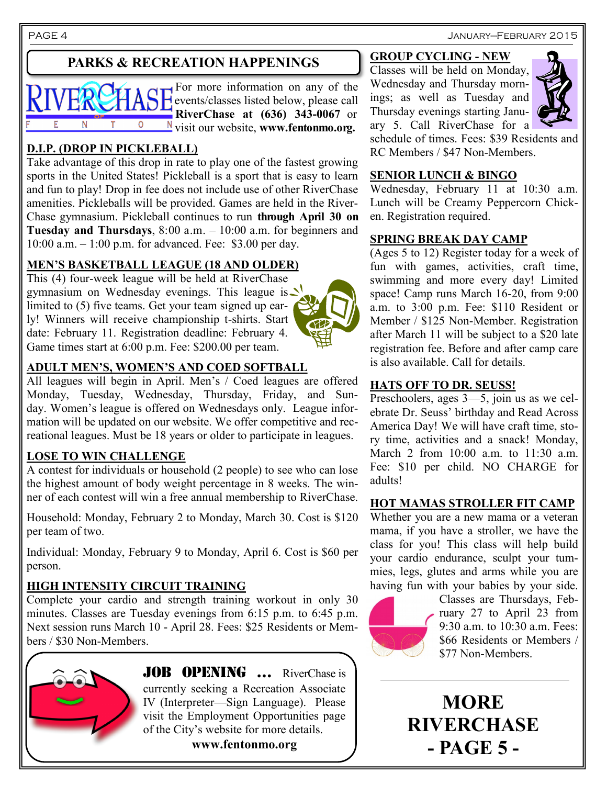PAGE 4 January—February 2015

### **PARKS & RECREATION HAPPENINGS**



For more information on any of the **H**events/classes listed below, please call **RiverChase at (636) 343-0067** or visit our website, **www.fentonmo.org.**

### **D.I.P. (DROP IN PICKLEBALL)**

Take advantage of this drop in rate to play one of the fastest growing sports in the United States! Pickleball is a sport that is easy to learn and fun to play! Drop in fee does not include use of other RiverChase amenities. Pickleballs will be provided. Games are held in the River-Chase gymnasium. Pickleball continues to run **through April 30 on Tuesday and Thursdays**, 8:00 a.m. – 10:00 a.m. for beginners and 10:00 a.m. – 1:00 p.m. for advanced. Fee: \$3.00 per day.

### **MEN'S BASKETBALL LEAGUE (18 AND OLDER)**

This (4) four-week league will be held at RiverChase gymnasium on Wednesday evenings. This league is  $\vee$ limited to (5) five teams. Get your team signed up early! Winners will receive championship t-shirts. Start date: February 11. Registration deadline: February 4. Game times start at 6:00 p.m. Fee: \$200.00 per team.

#### **ADULT MEN'S, WOMEN'S AND COED SOFTBALL**

All leagues will begin in April. Men's / Coed leagues are offered Monday, Tuesday, Wednesday, Thursday, Friday, and Sunday. Women's league is offered on Wednesdays only. League information will be updated on our website. We offer competitive and recreational leagues. Must be 18 years or older to participate in leagues.

#### **LOSE TO WIN CHALLENGE**

A contest for individuals or household (2 people) to see who can lose the highest amount of body weight percentage in 8 weeks. The winner of each contest will win a free annual membership to RiverChase.

Household: Monday, February 2 to Monday, March 30. Cost is \$120 per team of two.

Individual: Monday, February 9 to Monday, April 6. Cost is \$60 per person.

#### **HIGH INTENSITY CIRCUIT TRAINING**

Complete your cardio and strength training workout in only 30 minutes. Classes are Tuesday evenings from 6:15 p.m. to 6:45 p.m. Next session runs March 10 - April 28. Fees: \$25 Residents or Members / \$30 Non-Members.



**JOB OPENING ...** RiverChase is currently seeking a Recreation Associate IV (Interpreter—Sign Language). Please visit the Employment Opportunities page of the City's website for more details.

**www.fentonmo.org**

### **GROUP CYCLING - NEW**

Classes will be held on Monday, Wednesday and Thursday mornings; as well as Tuesday and Thursday evenings starting January 5. Call RiverChase for a



schedule of times. Fees: \$39 Residents and RC Members / \$47 Non-Members.

#### **SENIOR LUNCH & BINGO**

Wednesday, February 11 at 10:30 a.m. Lunch will be Creamy Peppercorn Chicken. Registration required.

#### **SPRING BREAK DAY CAMP**

(Ages 5 to 12) Register today for a week of fun with games, activities, craft time, swimming and more every day! Limited space! Camp runs March 16-20, from 9:00 a.m. to 3:00 p.m. Fee: \$110 Resident or Member / \$125 Non-Member. Registration after March 11 will be subject to a \$20 late registration fee. Before and after camp care is also available. Call for details.

### **HATS OFF TO DR. SEUSS!**

Preschoolers, ages 3—5, join us as we celebrate Dr. Seuss' birthday and Read Across America Day! We will have craft time, story time, activities and a snack! Monday, March 2 from 10:00 a.m. to 11:30 a.m. Fee: \$10 per child. NO CHARGE for adults!

### **HOT MAMAS STROLLER FIT CAMP**

Whether you are a new mama or a veteran mama, if you have a stroller, we have the class for you! This class will help build your cardio endurance, sculpt your tummies, legs, glutes and arms while you are having fun with your babies by your side.



Classes are Thursdays, February 27 to April 23 from 9:30 a.m. to 10:30 a.m. Fees: \$66 Residents or Members / \$77 Non-Members.

**MORE RIVERCHASE - PAGE 5 -**

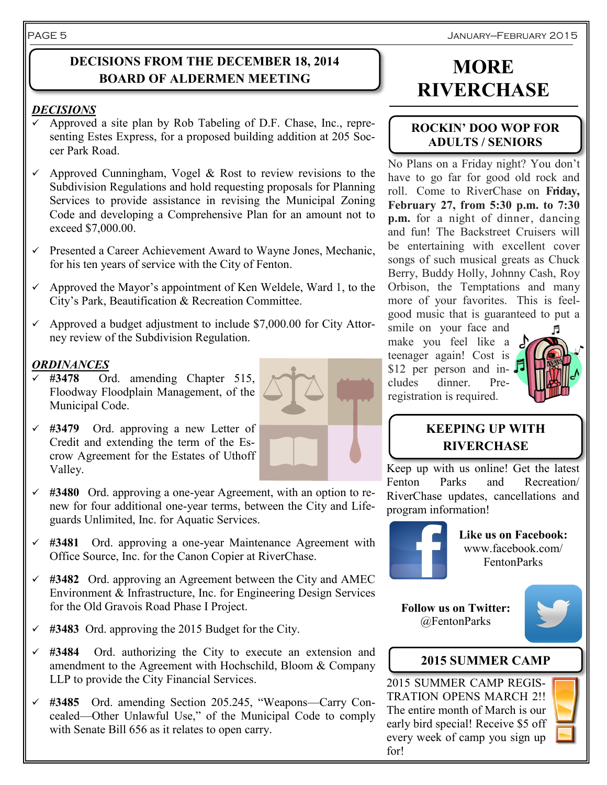#### January—February 2015

### **DECISIONS FROM THE DECEMBER 18, 2014 BOARD OF ALDERMEN MEETING**

#### *DECISIONS*

- Approved a site plan by Rob Tabeling of D.F. Chase, Inc., representing Estes Express, for a proposed building addition at 205 Soccer Park Road.
- $\checkmark$  Approved Cunningham, Vogel & Rost to review revisions to the Subdivision Regulations and hold requesting proposals for Planning Services to provide assistance in revising the Municipal Zoning Code and developing a Comprehensive Plan for an amount not to exceed \$7,000.00.
- $\checkmark$  Presented a Career Achievement Award to Wayne Jones, Mechanic, for his ten years of service with the City of Fenton.
- $\checkmark$  Approved the Mayor's appointment of Ken Weldele, Ward 1, to the City's Park, Beautification & Recreation Committee.
- $\sim$  Approved a budget adjustment to include \$7,000.00 for City Attorney review of the Subdivision Regulation.

#### *ORDINANCES*

- **#3478** Ord. amending Chapter 515, Floodway Floodplain Management, of the Municipal Code.
- **#3479** Ord. approving a new Letter of Credit and extending the term of the Escrow Agreement for the Estates of Uthoff Valley.
- **#3480** Ord. approving a one-year Agreement, with an option to renew for four additional one-year terms, between the City and Lifeguards Unlimited, Inc. for Aquatic Services.
- **#3481** Ord. approving a one-year Maintenance Agreement with Office Source, Inc. for the Canon Copier at RiverChase.
- **#3482** Ord. approving an Agreement between the City and AMEC Environment & Infrastructure, Inc. for Engineering Design Services for the Old Gravois Road Phase I Project.
- **#3483** Ord. approving the 2015 Budget for the City.
- **#3484** Ord. authorizing the City to execute an extension and amendment to the Agreement with Hochschild, Bloom & Company LLP to provide the City Financial Services.
- **#3485** Ord. amending Section 205.245, "Weapons—Carry Concealed—Other Unlawful Use," of the Municipal Code to comply with Senate Bill 656 as it relates to open carry.

# **MORE RIVERCHASE**

#### **ROCKIN' DOO WOP FOR ADULTS / SENIORS**

No Plans on a Friday night? You don't have to go far for good old rock and roll. Come to RiverChase on **Friday, February 27, from 5:30 p.m. to 7:30 p.m.** for a night of dinner, dancing and fun! The Backstreet Cruisers will be entertaining with excellent cover songs of such musical greats as Chuck Berry, Buddy Holly, Johnny Cash, Roy Orbison, the Temptations and many more of your favorites. This is feelgood music that is guaranteed to put a

smile on your face and make you feel like a teenager again! Cost is \$12 per person and in- $\sqrt{s}$ cludes dinner. Preregistration is required.



### **KEEPING UP WITH RIVERCHASE**

Keep up with us online! Get the latest Fenton Parks and Recreation/ RiverChase updates, cancellations and program information!



**Like us on Facebook:** www.facebook.com/ FentonParks

**Follow us on Twitter:** @FentonParks



### **2015 SUMMER CAMP**

2015 SUMMER CAMP REGIS-TRATION OPENS MARCH 2!! The entire month of March is our early bird special! Receive \$5 off every week of camp you sign up for!